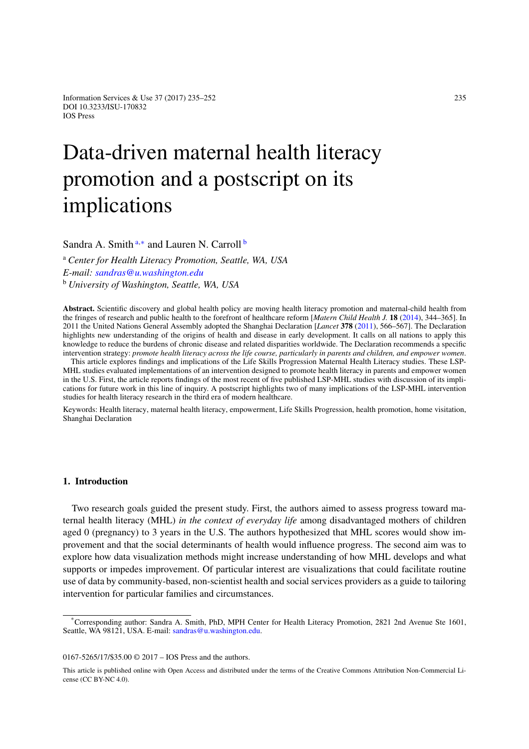Information Services & Use  $37(2017)$   $235-252$  235 DOI 10.3233/ISU-170832 IOS Press

# Data-driven maternal health literacy promotion and a postscript on its implications

<span id="page-0-0"></span>S[a](#page-0-0)ndra A. Smith<sup>a,[∗](#page-0-1)</sup> and Lauren N. Carroll<sup>[b](#page-0-2)</sup>

<span id="page-0-2"></span><sup>a</sup> *Center for Health Literacy Promotion, Seattle, WA, USA E-mail: [sandras@u.washington.edu](mailto:sandras@u.washington.edu)* <sup>b</sup> *University of Washington, Seattle, WA, USA*

**Abstract.** Scientific discovery and global health policy are moving health literacy promotion and maternal-child health from the fringes of research and public health to the forefront of healthcare reform [*Matern Child Health J.* **18** [\(2014\)](#page-16-0), 344–365]. In 2011 the United Nations General Assembly adopted the Shanghai Declaration [*Lancet* **378** [\(2011\)](#page-16-1), 566–567]. The Declaration highlights new understanding of the origins of health and disease in early development. It calls on all nations to apply this knowledge to reduce the burdens of chronic disease and related disparities worldwide. The Declaration recommends a specific intervention strategy: *promote health literacy across the life course, particularly in parents and children, and empower women*.

This article explores findings and implications of the Life Skills Progression Maternal Health Literacy studies. These LSP-MHL studies evaluated implementations of an intervention designed to promote health literacy in parents and empower women in the U.S. First, the article reports findings of the most recent of five published LSP-MHL studies with discussion of its implications for future work in this line of inquiry. A postscript highlights two of many implications of the LSP-MHL intervention studies for health literacy research in the third era of modern healthcare.

Keywords: Health literacy, maternal health literacy, empowerment, Life Skills Progression, health promotion, home visitation, Shanghai Declaration

# **1. Introduction**

Two research goals guided the present study. First, the authors aimed to assess progress toward maternal health literacy (MHL) *in the context of everyday life* among disadvantaged mothers of children aged 0 (pregnancy) to 3 years in the U.S. The authors hypothesized that MHL scores would show improvement and that the social determinants of health would influence progress. The second aim was to explore how data visualization methods might increase understanding of how MHL develops and what supports or impedes improvement. Of particular interest are visualizations that could facilitate routine use of data by community-based, non-scientist health and social services providers as a guide to tailoring intervention for particular families and circumstances.

0167-5265/17/\$35.00 © 2017 – IOS Press and the authors.

<span id="page-0-1"></span><sup>\*</sup>Corresponding author: Sandra A. Smith, PhD, MPH Center for Health Literacy Promotion, 2821 2nd Avenue Ste 1601, Seattle, WA 98121, USA. E-mail: [sandras@u.washington.edu.](mailto:sandras@u.washington.edu)

This article is published online with Open Access and distributed under the terms of the Creative Commons Attribution Non-Commercial License (CC BY-NC 4.0).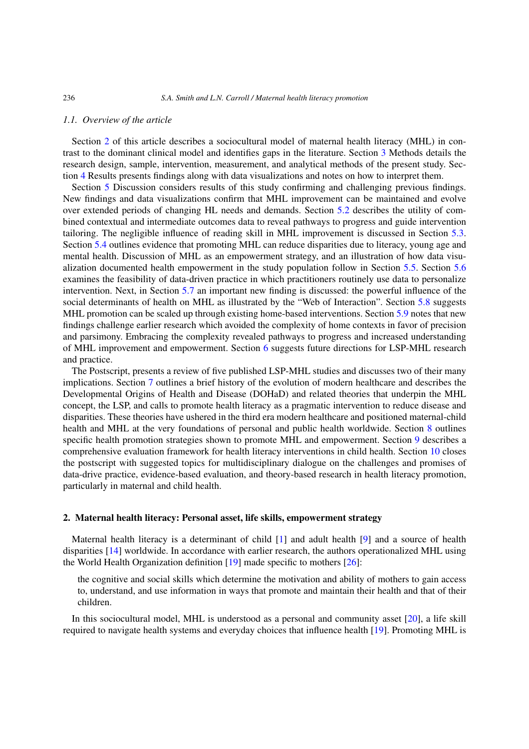#### *1.1. Overview of the article*

Section [2](#page-1-0) of this article describes a sociocultural model of maternal health literacy (MHL) in contrast to the dominant clinical model and identifies gaps in the literature. Section [3](#page-2-0) Methods details the research design, sample, intervention, measurement, and analytical methods of the present study. Section [4](#page-3-0) Results presents findings along with data visualizations and notes on how to interpret them.

Section [5](#page-7-0) Discussion considers results of this study confirming and challenging previous findings. New findings and data visualizations confirm that MHL improvement can be maintained and evolve over extended periods of changing HL needs and demands. Section [5.2](#page-9-0) describes the utility of combined contextual and intermediate outcomes data to reveal pathways to progress and guide intervention tailoring. The negligible influence of reading skill in MHL improvement is discussed in Section [5.3.](#page-9-1) Section [5.4](#page-9-2) outlines evidence that promoting MHL can reduce disparities due to literacy, young age and mental health. Discussion of MHL as an empowerment strategy, and an illustration of how data visualization documented health empowerment in the study population follow in Section [5.5.](#page-9-3) Section [5.6](#page-10-0) examines the feasibility of data-driven practice in which practitioners routinely use data to personalize intervention. Next, in Section [5.7](#page-10-1) an important new finding is discussed: the powerful influence of the social determinants of health on MHL as illustrated by the "Web of Interaction". Section [5.8](#page-10-2) suggests MHL promotion can be scaled up through existing home-based interventions. Section [5.9](#page-10-3) notes that new findings challenge earlier research which avoided the complexity of home contexts in favor of precision and parsimony. Embracing the complexity revealed pathways to progress and increased understanding of MHL improvement and empowerment. Section [6](#page-10-4) suggests future directions for LSP-MHL research and practice.

The Postscript, presents a review of five published LSP-MHL studies and discusses two of their many implications. Section [7](#page-11-0) outlines a brief history of the evolution of modern healthcare and describes the Developmental Origins of Health and Disease (DOHaD) and related theories that underpin the MHL concept, the LSP, and calls to promote health literacy as a pragmatic intervention to reduce disease and disparities. These theories have ushered in the third era modern healthcare and positioned maternal-child health and MHL at the very foundations of personal and public health worldwide. Section [8](#page-14-0) outlines specific health promotion strategies shown to promote MHL and empowerment. Section [9](#page-14-1) describes a comprehensive evaluation framework for health literacy interventions in child health. Section [10](#page-16-2) closes the postscript with suggested topics for multidisciplinary dialogue on the challenges and promises of data-drive practice, evidence-based evaluation, and theory-based research in health literacy promotion, particularly in maternal and child health.

#### <span id="page-1-0"></span>**2. Maternal health literacy: Personal asset, life skills, empowerment strategy**

Maternal health literacy is a determinant of child [\[1](#page-16-3)] and adult health [\[9\]](#page-16-4) and a source of health disparities [\[14](#page-17-0)] worldwide. In accordance with earlier research, the authors operationalized MHL using the World Health Organization definition [\[19\]](#page-17-1) made specific to mothers [\[26\]](#page-17-2):

the cognitive and social skills which determine the motivation and ability of mothers to gain access to, understand, and use information in ways that promote and maintain their health and that of their children.

In this sociocultural model, MHL is understood as a personal and community asset [\[20\]](#page-17-3), a life skill required to navigate health systems and everyday choices that influence health [\[19\]](#page-17-1). Promoting MHL is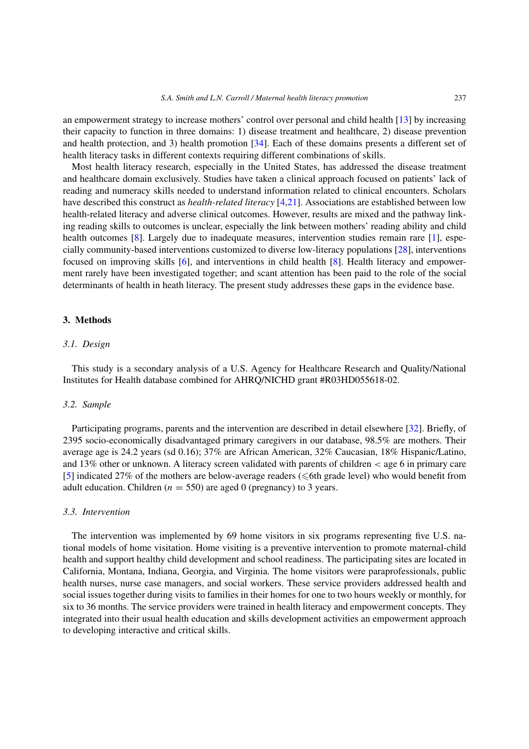an empowerment strategy to increase mothers' control over personal and child health [\[13\]](#page-16-5) by increasing their capacity to function in three domains: 1) disease treatment and healthcare, 2) disease prevention and health protection, and 3) health promotion [\[34\]](#page-17-4). Each of these domains presents a different set of health literacy tasks in different contexts requiring different combinations of skills.

Most health literacy research, especially in the United States, has addressed the disease treatment and healthcare domain exclusively. Studies have taken a clinical approach focused on patients' lack of reading and numeracy skills needed to understand information related to clinical encounters. Scholars have described this construct as *health-related literacy* [\[4](#page-16-6)[,21](#page-17-5)]. Associations are established between low health-related literacy and adverse clinical outcomes. However, results are mixed and the pathway linking reading skills to outcomes is unclear, especially the link between mothers' reading ability and child health outcomes [\[8\]](#page-16-7). Largely due to inadequate measures, intervention studies remain rare [\[1](#page-16-3)], especially community-based interventions customized to diverse low-literacy populations [\[28](#page-17-6)], interventions focused on improving skills [\[6\]](#page-16-8), and interventions in child health [\[8](#page-16-7)]. Health literacy and empowerment rarely have been investigated together; and scant attention has been paid to the role of the social determinants of health in heath literacy. The present study addresses these gaps in the evidence base.

## <span id="page-2-0"></span>**3. Methods**

## *3.1. Design*

This study is a secondary analysis of a U.S. Agency for Healthcare Research and Quality/National Institutes for Health database combined for AHRQ/NICHD grant #R03HD055618-02.

#### *3.2. Sample*

Participating programs, parents and the intervention are described in detail elsewhere [\[32\]](#page-17-7). Briefly, of 2395 socio-economically disadvantaged primary caregivers in our database, 98.5% are mothers. Their average age is 24.2 years (sd 0.16); 37% are African American, 32% Caucasian, 18% Hispanic/Latino, and 13% other or unknown. A literacy screen validated with parents of children *<* age 6 in primary care [\[5\]](#page-16-9) indicated 27% of the mothers are below-average readers ( $\leq$  6th grade level) who would benefit from adult education. Children ( $n = 550$ ) are aged 0 (pregnancy) to 3 years.

#### *3.3. Intervention*

The intervention was implemented by 69 home visitors in six programs representing five U.S. national models of home visitation. Home visiting is a preventive intervention to promote maternal-child health and support healthy child development and school readiness. The participating sites are located in California, Montana, Indiana, Georgia, and Virginia. The home visitors were paraprofessionals, public health nurses, nurse case managers, and social workers. These service providers addressed health and social issues together during visits to families in their homes for one to two hours weekly or monthly, for six to 36 months. The service providers were trained in health literacy and empowerment concepts. They integrated into their usual health education and skills development activities an empowerment approach to developing interactive and critical skills.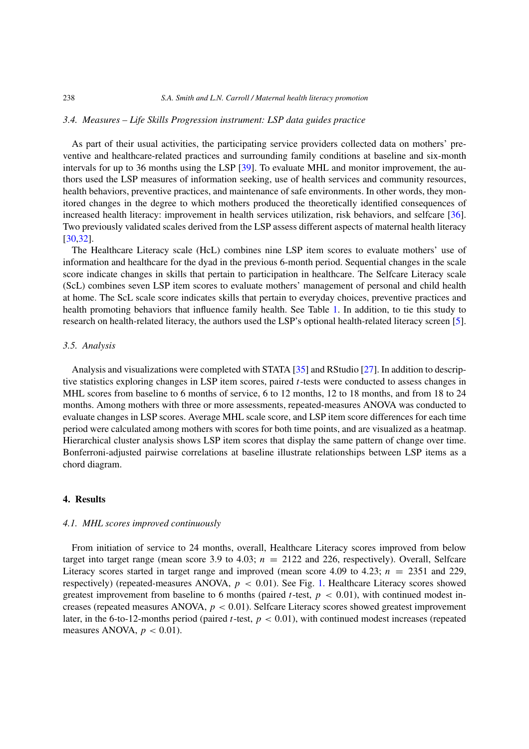#### *3.4. Measures – Life Skills Progression instrument: LSP data guides practice*

As part of their usual activities, the participating service providers collected data on mothers' preventive and healthcare-related practices and surrounding family conditions at baseline and six-month intervals for up to 36 months using the LSP [\[39\]](#page-17-8). To evaluate MHL and monitor improvement, the authors used the LSP measures of information seeking, use of health services and community resources, health behaviors, preventive practices, and maintenance of safe environments. In other words, they monitored changes in the degree to which mothers produced the theoretically identified consequences of increased health literacy: improvement in health services utilization, risk behaviors, and selfcare [\[36](#page-17-9)]. Two previously validated scales derived from the LSP assess different aspects of maternal health literacy [\[30](#page-17-10)[,32](#page-17-7)].

The Healthcare Literacy scale (HcL) combines nine LSP item scores to evaluate mothers' use of information and healthcare for the dyad in the previous 6-month period. Sequential changes in the scale score indicate changes in skills that pertain to participation in healthcare. The Selfcare Literacy scale (ScL) combines seven LSP item scores to evaluate mothers' management of personal and child health at home. The ScL scale score indicates skills that pertain to everyday choices, preventive practices and health promoting behaviors that influence family health. See Table [1.](#page-4-0) In addition, to tie this study to research on health-related literacy, the authors used the LSP's optional health-related literacy screen [\[5](#page-16-9)].

## *3.5. Analysis*

Analysis and visualizations were completed with STATA [\[35\]](#page-17-11) and RStudio [\[27](#page-17-12)]. In addition to descriptive statistics exploring changes in LSP item scores, paired *t*-tests were conducted to assess changes in MHL scores from baseline to 6 months of service, 6 to 12 months, 12 to 18 months, and from 18 to 24 months. Among mothers with three or more assessments, repeated-measures ANOVA was conducted to evaluate changes in LSP scores. Average MHL scale score, and LSP item score differences for each time period were calculated among mothers with scores for both time points, and are visualized as a heatmap. Hierarchical cluster analysis shows LSP item scores that display the same pattern of change over time. Bonferroni-adjusted pairwise correlations at baseline illustrate relationships between LSP items as a chord diagram.

## <span id="page-3-0"></span>**4. Results**

#### *4.1. MHL scores improved continuously*

From initiation of service to 24 months, overall, Healthcare Literacy scores improved from below target into target range (mean score 3.9 to 4.03;  $n = 2122$  and 226, respectively). Overall, Selfcare Literacy scores started in target range and improved (mean score 4.09 to 4.23;  $n = 2351$  and 229, respectively) (repeated-measures ANOVA, *p <* 0*.*01). See Fig. [1.](#page-5-0) Healthcare Literacy scores showed greatest improvement from baseline to 6 months (paired *t*-test,  $p < 0.01$ ), with continued modest increases (repeated measures ANOVA, *p <* 0*.*01). Selfcare Literacy scores showed greatest improvement later, in the 6-to-12-months period (paired *t*-test, *p <* 0*.*01), with continued modest increases (repeated measures ANOVA,  $p < 0.01$ ).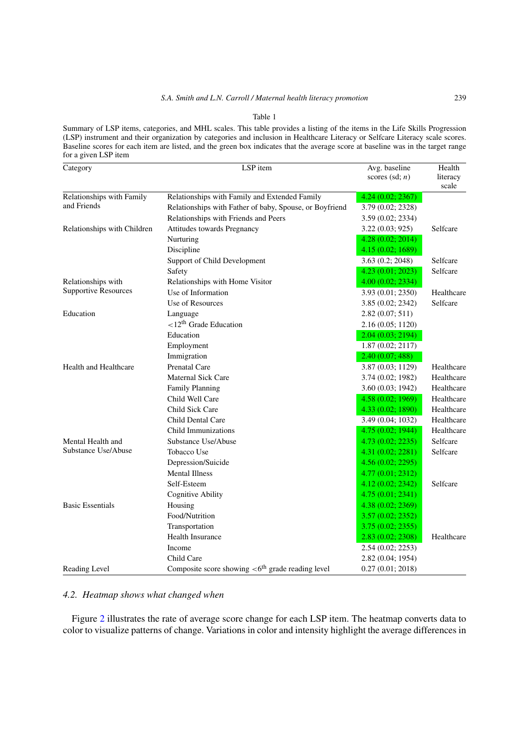## *S.A. Smith and L.N. Carroll / Maternal health literacy promotion* 239

#### Table 1

<span id="page-4-0"></span>Summary of LSP items, categories, and MHL scales. This table provides a listing of the items in the Life Skills Progression (LSP) instrument and their organization by categories and inclusion in Healthcare Literacy or Selfcare Literacy scale scores. Baseline scores for each item are listed, and the green box indicates that the average score at baseline was in the target range for a given LSP item

| Category                                 | LSP item                                                       | Avg. baseline     | Health            |
|------------------------------------------|----------------------------------------------------------------|-------------------|-------------------|
|                                          |                                                                | scores $(sd; n)$  | literacy<br>scale |
| Relationships with Family<br>and Friends | Relationships with Family and Extended Family                  | 4.24(0.02; 2367)  |                   |
|                                          | Relationships with Father of baby, Spouse, or Boyfriend        | 3.79 (0.02; 2328) |                   |
|                                          | Relationships with Friends and Peers                           | 3.59 (0.02; 2334) |                   |
| Relationships with Children              | Attitudes towards Pregnancy                                    | 3.22(0.03; 925)   | Selfcare          |
|                                          | Nurturing                                                      | 4.28(0.02; 2014)  |                   |
|                                          | Discipline                                                     | 4.15(0.02; 1689)  |                   |
|                                          | Support of Child Development                                   | 3.63 (0.2; 2048)  | Selfcare          |
|                                          | Safety                                                         | 4.23 (0.01; 2023) | Selfcare          |
| Relationships with                       | Relationships with Home Visitor                                | 4.00(0.02; 2334)  |                   |
| <b>Supportive Resources</b>              | Use of Information                                             | 3.93 (0.01; 2350) | Healthcare        |
|                                          | Use of Resources                                               | 3.85(0.02; 2342)  | Selfcare          |
| Education                                | Language                                                       | 2.82(0.07; 511)   |                   |
|                                          | $\langle 12^{th}$ Grade Education                              | 2.16(0.05; 1120)  |                   |
|                                          | Education                                                      | 2.04(0.03; 2194)  |                   |
|                                          | Employment                                                     | 1.87(0.02; 2117)  |                   |
|                                          | Immigration                                                    | 2.40(0.07; 488)   |                   |
| <b>Health and Healthcare</b>             | Prenatal Care                                                  | 3.87 (0.03; 1129) | Healthcare        |
|                                          | Maternal Sick Care                                             | 3.74 (0.02; 1982) | Healthcare        |
|                                          | <b>Family Planning</b>                                         | 3.60 (0.03; 1942) | Healthcare        |
|                                          | Child Well Care                                                | 4.58(0.02; 1969)  | Healthcare        |
|                                          | Child Sick Care                                                | 4.33 (0.02; 1890) | Healthcare        |
|                                          | Child Dental Care                                              | 3.49 (0.04; 1032) | Healthcare        |
|                                          | Child Immunizations                                            | 4.75(0.02; 1944)  | Healthcare        |
| Mental Health and                        | Substance Use/Abuse                                            | 4.73(0.02; 2235)  | Selfcare          |
| Substance Use/Abuse                      | Tobacco Use                                                    | 4.31(0.02; 2281)  | Selfcare          |
|                                          | Depression/Suicide                                             | 4.56(0.02; 2295)  |                   |
|                                          | <b>Mental Illness</b>                                          | 4.77(0.01; 2312)  |                   |
|                                          | Self-Esteem                                                    | 4.12 (0.02; 2342) | Selfcare          |
|                                          | <b>Cognitive Ability</b>                                       | 4.75(0.01; 2341)  |                   |
| <b>Basic Essentials</b>                  | Housing                                                        | 4.38(0.02; 2369)  |                   |
|                                          | Food/Nutrition                                                 | 3.57(0.02; 2352)  |                   |
|                                          | Transportation                                                 | 3.75(0.02; 2355)  |                   |
|                                          | Health Insurance                                               | 2.83(0.02; 2308)  | Healthcare        |
|                                          | Income                                                         | 2.54(0.02; 2253)  |                   |
|                                          | Child Care                                                     | 2.82(0.04; 1954)  |                   |
| Reading Level                            | Composite score showing $<6$ <sup>th</sup> grade reading level | 0.27(0.01; 2018)  |                   |

# *4.2. Heatmap shows what changed when*

Figure [2](#page-6-0) illustrates the rate of average score change for each LSP item. The heatmap converts data to color to visualize patterns of change. Variations in color and intensity highlight the average differences in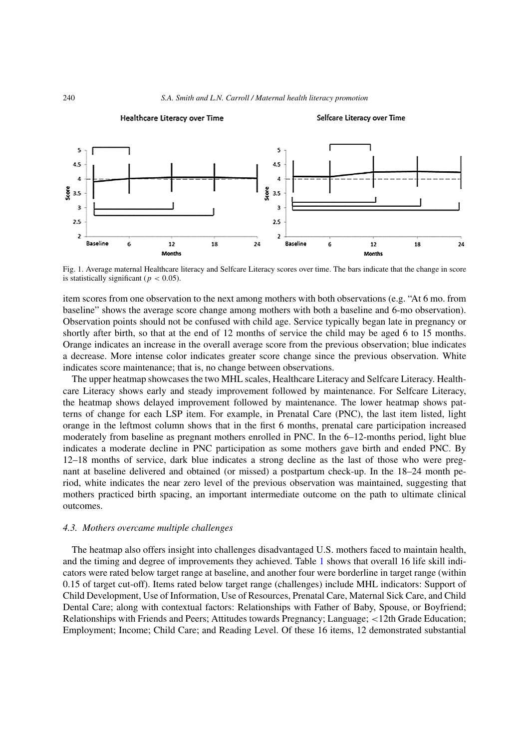

<span id="page-5-0"></span>Fig. 1. Average maternal Healthcare literacy and Selfcare Literacy scores over time. The bars indicate that the change in score is statistically significant ( $p < 0.05$ ).

item scores from one observation to the next among mothers with both observations (e.g. "At 6 mo. from baseline" shows the average score change among mothers with both a baseline and 6-mo observation). Observation points should not be confused with child age. Service typically began late in pregnancy or shortly after birth, so that at the end of 12 months of service the child may be aged 6 to 15 months. Orange indicates an increase in the overall average score from the previous observation; blue indicates a decrease. More intense color indicates greater score change since the previous observation. White indicates score maintenance; that is, no change between observations.

The upper heatmap showcases the two MHL scales, Healthcare Literacy and Selfcare Literacy. Healthcare Literacy shows early and steady improvement followed by maintenance. For Selfcare Literacy, the heatmap shows delayed improvement followed by maintenance. The lower heatmap shows patterns of change for each LSP item. For example, in Prenatal Care (PNC), the last item listed, light orange in the leftmost column shows that in the first 6 months, prenatal care participation increased moderately from baseline as pregnant mothers enrolled in PNC. In the 6–12-months period, light blue indicates a moderate decline in PNC participation as some mothers gave birth and ended PNC. By 12–18 months of service, dark blue indicates a strong decline as the last of those who were pregnant at baseline delivered and obtained (or missed) a postpartum check-up. In the 18–24 month period, white indicates the near zero level of the previous observation was maintained, suggesting that mothers practiced birth spacing, an important intermediate outcome on the path to ultimate clinical outcomes.

#### *4.3. Mothers overcame multiple challenges*

The heatmap also offers insight into challenges disadvantaged U.S. mothers faced to maintain health, and the timing and degree of improvements they achieved. Table [1](#page-4-0) shows that overall 16 life skill indicators were rated below target range at baseline, and another four were borderline in target range (within 0.15 of target cut-off). Items rated below target range (challenges) include MHL indicators: Support of Child Development, Use of Information, Use of Resources, Prenatal Care, Maternal Sick Care, and Child Dental Care; along with contextual factors: Relationships with Father of Baby, Spouse, or Boyfriend; Relationships with Friends and Peers; Attitudes towards Pregnancy; Language; *<*12th Grade Education; Employment; Income; Child Care; and Reading Level. Of these 16 items, 12 demonstrated substantial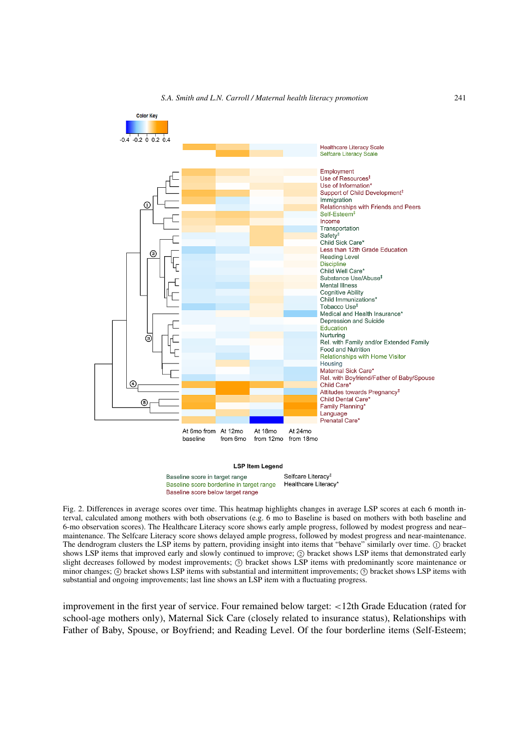

*S.A. Smith and L.N. Carroll / Maternal health literacy promotion* 241

#### **LSP Item Legend**

Selfcare Literacy<sup>#</sup> Baseline score in target range Healthcare Literacy\* Baseline score borderline in target range Baseline score below target range

<span id="page-6-0"></span>Fig. 2. Differences in average scores over time. This heatmap highlights changes in average LSP scores at each 6 month interval, calculated among mothers with both observations (e.g. 6 mo to Baseline is based on mothers with both baseline and 6-mo observation scores). The Healthcare Literacy score shows early ample progress, followed by modest progress and near– maintenance. The Selfcare Literacy score shows delayed ample progress, followed by modest progress and near-maintenance. The dendrogram clusters the LSP items by pattern, providing insight into items that "behave" similarly over time. (1) bracket shows LSP items that improved early and slowly continued to improve;  $\oslash$  bracket shows LSP items that demonstrated early slight decreases followed by modest improvements; <sup>3</sup> bracket shows LSP items with predominantly score maintenance or minor changes;  $\overline{4}$  bracket shows LSP items with substantial and intermittent improvements;  $\overline{5}$  bracket shows LSP items with substantial and ongoing improvements; last line shows an LSP item with a fluctuating progress.

improvement in the first year of service. Four remained below target: *<*12th Grade Education (rated for school-age mothers only), Maternal Sick Care (closely related to insurance status), Relationships with Father of Baby, Spouse, or Boyfriend; and Reading Level. Of the four borderline items (Self-Esteem;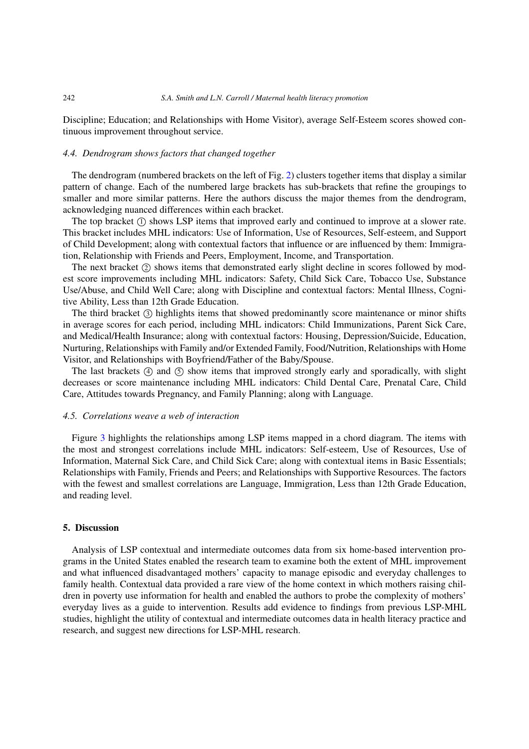Discipline; Education; and Relationships with Home Visitor), average Self-Esteem scores showed continuous improvement throughout service.

## *4.4. Dendrogram shows factors that changed together*

The dendrogram (numbered brackets on the left of Fig. [2\)](#page-6-0) clusters together items that display a similar pattern of change. Each of the numbered large brackets has sub-brackets that refine the groupings to smaller and more similar patterns. Here the authors discuss the major themes from the dendrogram, acknowledging nuanced differences within each bracket.

The top bracket  $(1)$  shows LSP items that improved early and continued to improve at a slower rate. This bracket includes MHL indicators: Use of Information, Use of Resources, Self-esteem, and Support of Child Development; along with contextual factors that influence or are influenced by them: Immigration, Relationship with Friends and Peers, Employment, Income, and Transportation.

The next bracket (2) shows items that demonstrated early slight decline in scores followed by modest score improvements including MHL indicators: Safety, Child Sick Care, Tobacco Use, Substance Use/Abuse, and Child Well Care; along with Discipline and contextual factors: Mental Illness, Cognitive Ability, Less than 12th Grade Education.

The third bracket (3) highlights items that showed predominantly score maintenance or minor shifts in average scores for each period, including MHL indicators: Child Immunizations, Parent Sick Care, and Medical/Health Insurance; along with contextual factors: Housing, Depression/Suicide, Education, Nurturing, Relationships with Family and/or Extended Family, Food/Nutrition, Relationships with Home Visitor, and Relationships with Boyfriend/Father of the Baby/Spouse.

The last brackets  $(4)$  and  $(5)$  show items that improved strongly early and sporadically, with slight decreases or score maintenance including MHL indicators: Child Dental Care, Prenatal Care, Child Care, Attitudes towards Pregnancy, and Family Planning; along with Language.

#### *4.5. Correlations weave a web of interaction*

Figure [3](#page-8-0) highlights the relationships among LSP items mapped in a chord diagram. The items with the most and strongest correlations include MHL indicators: Self-esteem, Use of Resources, Use of Information, Maternal Sick Care, and Child Sick Care; along with contextual items in Basic Essentials; Relationships with Family, Friends and Peers; and Relationships with Supportive Resources. The factors with the fewest and smallest correlations are Language, Immigration, Less than 12th Grade Education, and reading level.

## <span id="page-7-0"></span>**5. Discussion**

Analysis of LSP contextual and intermediate outcomes data from six home-based intervention programs in the United States enabled the research team to examine both the extent of MHL improvement and what influenced disadvantaged mothers' capacity to manage episodic and everyday challenges to family health. Contextual data provided a rare view of the home context in which mothers raising children in poverty use information for health and enabled the authors to probe the complexity of mothers' everyday lives as a guide to intervention. Results add evidence to findings from previous LSP-MHL studies, highlight the utility of contextual and intermediate outcomes data in health literacy practice and research, and suggest new directions for LSP-MHL research.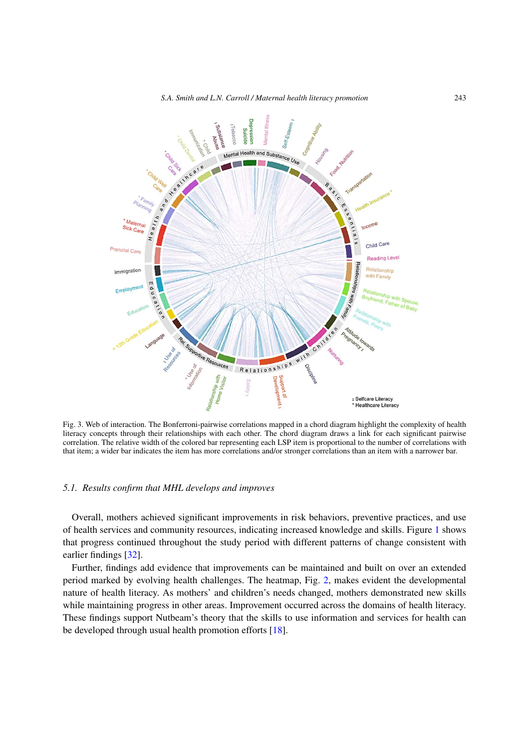*S.A. Smith and L.N. Carroll / Maternal health literacy promotion* 243



<span id="page-8-0"></span>Fig. 3. Web of interaction. The Bonferroni-pairwise correlations mapped in a chord diagram highlight the complexity of health literacy concepts through their relationships with each other. The chord diagram draws a link for each significant pairwise correlation. The relative width of the colored bar representing each LSP item is proportional to the number of correlations with that item; a wider bar indicates the item has more correlations and/or stronger correlations than an item with a narrower bar.

# *5.1. Results confirm that MHL develops and improves*

Overall, mothers achieved significant improvements in risk behaviors, preventive practices, and use of health services and community resources, indicating increased knowledge and skills. Figure [1](#page-5-0) shows that progress continued throughout the study period with different patterns of change consistent with earlier findings [\[32](#page-17-7)].

Further, findings add evidence that improvements can be maintained and built on over an extended period marked by evolving health challenges. The heatmap, Fig. [2,](#page-6-0) makes evident the developmental nature of health literacy. As mothers' and children's needs changed, mothers demonstrated new skills while maintaining progress in other areas. Improvement occurred across the domains of health literacy. These findings support Nutbeam's theory that the skills to use information and services for health can be developed through usual health promotion efforts [\[18\]](#page-17-13).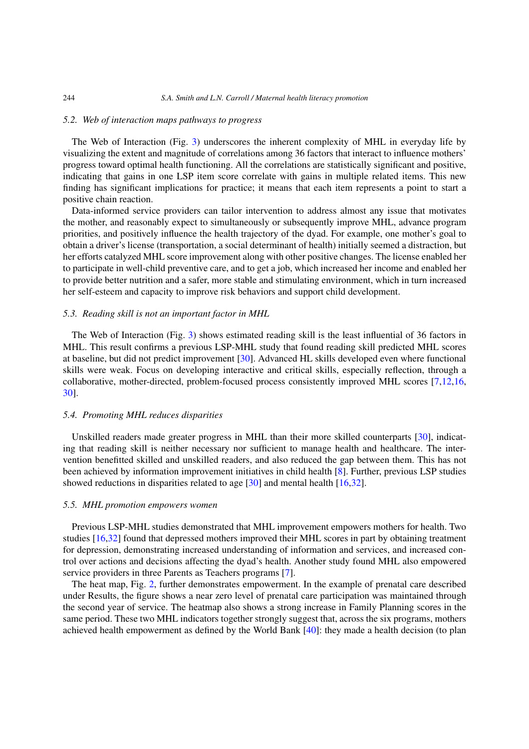#### *5.2. Web of interaction maps pathways to progress*

The Web of Interaction (Fig. [3\)](#page-8-0) underscores the inherent complexity of MHL in everyday life by visualizing the extent and magnitude of correlations among 36 factors that interact to influence mothers' progress toward optimal health functioning. All the correlations are statistically significant and positive, indicating that gains in one LSP item score correlate with gains in multiple related items. This new finding has significant implications for practice; it means that each item represents a point to start a positive chain reaction.

Data-informed service providers can tailor intervention to address almost any issue that motivates the mother, and reasonably expect to simultaneously or subsequently improve MHL, advance program priorities, and positively influence the health trajectory of the dyad. For example, one mother's goal to obtain a driver's license (transportation, a social determinant of health) initially seemed a distraction, but her efforts catalyzed MHL score improvement along with other positive changes. The license enabled her to participate in well-child preventive care, and to get a job, which increased her income and enabled her to provide better nutrition and a safer, more stable and stimulating environment, which in turn increased her self-esteem and capacity to improve risk behaviors and support child development.

#### <span id="page-9-1"></span>*5.3. Reading skill is not an important factor in MHL*

The Web of Interaction (Fig. [3\)](#page-8-0) shows estimated reading skill is the least influential of 36 factors in MHL. This result confirms a previous LSP-MHL study that found reading skill predicted MHL scores at baseline, but did not predict improvement [\[30](#page-17-10)]. Advanced HL skills developed even where functional skills were weak. Focus on developing interactive and critical skills, especially reflection, through a collaborative, mother-directed, problem-focused process consistently improved MHL scores [\[7](#page-16-10)[,12](#page-16-11)[,16,](#page-17-14) [30\]](#page-17-10).

## <span id="page-9-2"></span>*5.4. Promoting MHL reduces disparities*

Unskilled readers made greater progress in MHL than their more skilled counterparts [\[30](#page-17-10)], indicating that reading skill is neither necessary nor sufficient to manage health and healthcare. The intervention benefitted skilled and unskilled readers, and also reduced the gap between them. This has not been achieved by information improvement initiatives in child health [\[8](#page-16-7)]. Further, previous LSP studies showed reductions in disparities related to age [\[30\]](#page-17-10) and mental health [\[16](#page-17-14)[,32](#page-17-7)].

#### <span id="page-9-3"></span>*5.5. MHL promotion empowers women*

Previous LSP-MHL studies demonstrated that MHL improvement empowers mothers for health. Two studies [\[16](#page-17-14)[,32](#page-17-7)] found that depressed mothers improved their MHL scores in part by obtaining treatment for depression, demonstrating increased understanding of information and services, and increased control over actions and decisions affecting the dyad's health. Another study found MHL also empowered service providers in three Parents as Teachers programs [\[7](#page-16-10)].

The heat map, Fig. [2,](#page-6-0) further demonstrates empowerment. In the example of prenatal care described under Results, the figure shows a near zero level of prenatal care participation was maintained through the second year of service. The heatmap also shows a strong increase in Family Planning scores in the same period. These two MHL indicators together strongly suggest that, across the six programs, mothers achieved health empowerment as defined by the World Bank [\[40\]](#page-17-15): they made a health decision (to plan

<span id="page-9-0"></span>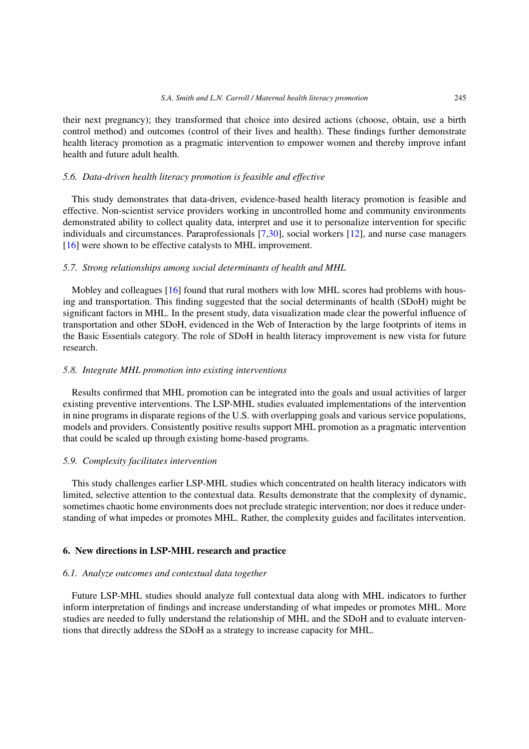their next pregnancy); they transformed that choice into desired actions (choose, obtain, use a birth control method) and outcomes (control of their lives and health). These findings further demonstrate health literacy promotion as a pragmatic intervention to empower women and thereby improve infant health and future adult health.

#### <span id="page-10-0"></span>*5.6. Data-driven health literacy promotion is feasible and effective*

This study demonstrates that data-driven, evidence-based health literacy promotion is feasible and effective. Non-scientist service providers working in uncontrolled home and community environments demonstrated ability to collect quality data, interpret and use it to personalize intervention for specific individuals and circumstances. Paraprofessionals [\[7](#page-16-10)[,30](#page-17-10)], social workers [\[12\]](#page-16-11), and nurse case managers [\[16](#page-17-14)] were shown to be effective catalysts to MHL improvement.

## <span id="page-10-1"></span>*5.7. Strong relationships among social determinants of health and MHL*

Mobley and colleagues [\[16](#page-17-14)] found that rural mothers with low MHL scores had problems with housing and transportation. This finding suggested that the social determinants of health (SDoH) might be significant factors in MHL. In the present study, data visualization made clear the powerful influence of transportation and other SDoH, evidenced in the Web of Interaction by the large footprints of items in the Basic Essentials category. The role of SDoH in health literacy improvement is new vista for future research.

## <span id="page-10-2"></span>*5.8. Integrate MHL promotion into existing interventions*

Results confirmed that MHL promotion can be integrated into the goals and usual activities of larger existing preventive interventions. The LSP-MHL studies evaluated implementations of the intervention in nine programs in disparate regions of the U.S. with overlapping goals and various service populations, models and providers. Consistently positive results support MHL promotion as a pragmatic intervention that could be scaled up through existing home-based programs.

#### <span id="page-10-3"></span>*5.9. Complexity facilitates intervention*

This study challenges earlier LSP-MHL studies which concentrated on health literacy indicators with limited, selective attention to the contextual data. Results demonstrate that the complexity of dynamic, sometimes chaotic home environments does not preclude strategic intervention; nor does it reduce understanding of what impedes or promotes MHL. Rather, the complexity guides and facilitates intervention.

#### <span id="page-10-4"></span>**6. New directions in LSP-MHL research and practice**

#### *6.1. Analyze outcomes and contextual data together*

Future LSP-MHL studies should analyze full contextual data along with MHL indicators to further inform interpretation of findings and increase understanding of what impedes or promotes MHL. More studies are needed to fully understand the relationship of MHL and the SDoH and to evaluate interventions that directly address the SDoH as a strategy to increase capacity for MHL.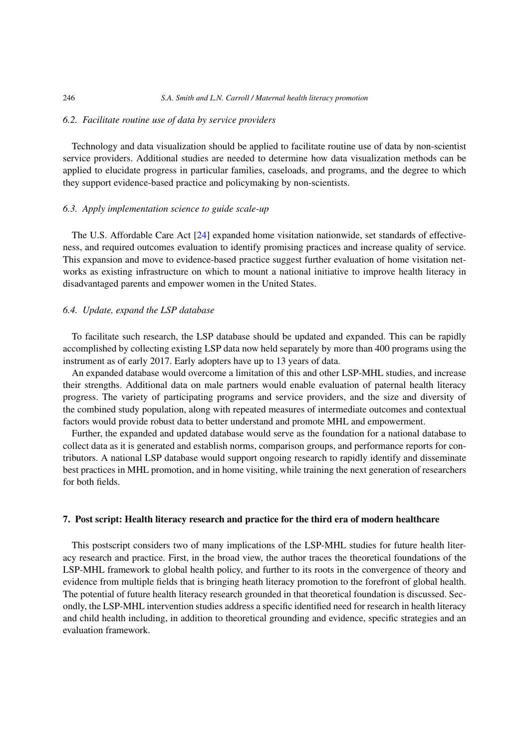## *6.2. Facilitate routine use of data by service providers*

Technology and data visualization should be applied to facilitate routine use of data by non-scientist service providers. Additional studies are needed to determine how data visualization methods can be applied to elucidate progress in particular families, caseloads, and programs, and the degree to which they support evidence-based practice and policymaking by non-scientists.

## *6.3. Apply implementation science to guide scale-up*

The U.S. Affordable Care Act [\[24](#page-17-16)] expanded home visitation nationwide, set standards of effectiveness, and required outcomes evaluation to identify promising practices and increase quality of service. This expansion and move to evidence-based practice suggest further evaluation of home visitation networks as existing infrastructure on which to mount a national initiative to improve health literacy in disadvantaged parents and empower women in the United States.

## *6.4. Update, expand the LSP database*

To facilitate such research, the LSP database should be updated and expanded. This can be rapidly accomplished by collecting existing LSP data now held separately by more than 400 programs using the instrument as of early 2017. Early adopters have up to 13 years of data.

An expanded database would overcome a limitation of this and other LSP-MHL studies, and increase their strengths. Additional data on male partners would enable evaluation of paternal health literacy progress. The variety of participating programs and service providers, and the size and diversity of the combined study population, along with repeated measures of intermediate outcomes and contextual factors would provide robust data to better understand and promote MHL and empowerment.

Further, the expanded and updated database would serve as the foundation for a national database to collect data as it is generated and establish norms, comparison groups, and performance reports for contributors. A national LSP database would support ongoing research to rapidly identify and disseminate best practices in MHL promotion, and in home visiting, while training the next generation of researchers for both fields.

## <span id="page-11-0"></span>**7. Post script: Health literacy research and practice for the third era of modern healthcare**

This postscript considers two of many implications of the LSP-MHL studies for future health literacy research and practice. First, in the broad view, the author traces the theoretical foundations of the LSP-MHL framework to global health policy, and further to its roots in the convergence of theory and evidence from multiple fields that is bringing heath literacy promotion to the forefront of global health. The potential of future health literacy research grounded in that theoretical foundation is discussed. Secondly, the LSP-MHL intervention studies address a specific identified need for research in health literacy and child health including, in addition to theoretical grounding and evidence, specific strategies and an evaluation framework.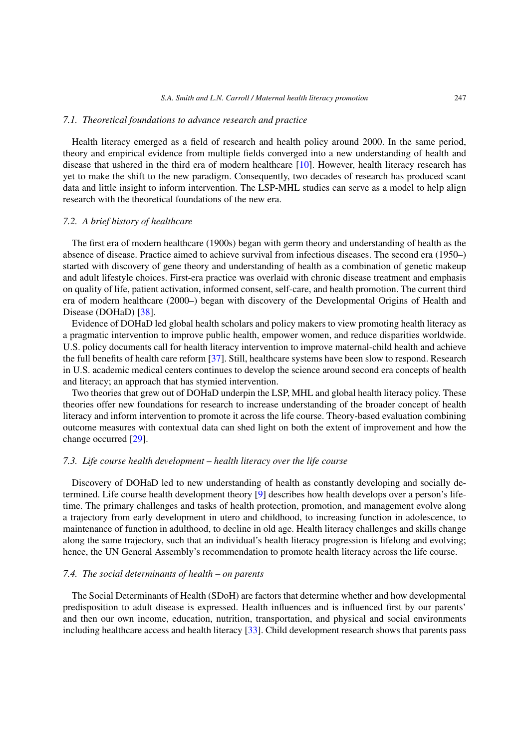#### *7.1. Theoretical foundations to advance research and practice*

Health literacy emerged as a field of research and health policy around 2000. In the same period, theory and empirical evidence from multiple fields converged into a new understanding of health and disease that ushered in the third era of modern healthcare  $[10]$ . However, health literacy research has yet to make the shift to the new paradigm. Consequently, two decades of research has produced scant data and little insight to inform intervention. The LSP-MHL studies can serve as a model to help align research with the theoretical foundations of the new era.

#### *7.2. A brief history of healthcare*

The first era of modern healthcare (1900s) began with germ theory and understanding of health as the absence of disease. Practice aimed to achieve survival from infectious diseases. The second era (1950–) started with discovery of gene theory and understanding of health as a combination of genetic makeup and adult lifestyle choices. First-era practice was overlaid with chronic disease treatment and emphasis on quality of life, patient activation, informed consent, self-care, and health promotion. The current third era of modern healthcare (2000–) began with discovery of the Developmental Origins of Health and Disease (DOHaD) [\[38\]](#page-17-17).

Evidence of DOHaD led global health scholars and policy makers to view promoting health literacy as a pragmatic intervention to improve public health, empower women, and reduce disparities worldwide. U.S. policy documents call for health literacy intervention to improve maternal-child health and achieve the full benefits of health care reform [\[37\]](#page-17-18). Still, healthcare systems have been slow to respond. Research in U.S. academic medical centers continues to develop the science around second era concepts of health and literacy; an approach that has stymied intervention.

Two theories that grew out of DOHaD underpin the LSP, MHL and global health literacy policy. These theories offer new foundations for research to increase understanding of the broader concept of health literacy and inform intervention to promote it across the life course. Theory-based evaluation combining outcome measures with contextual data can shed light on both the extent of improvement and how the change occurred [\[29](#page-17-19)].

## *7.3. Life course health development – health literacy over the life course*

Discovery of DOHaD led to new understanding of health as constantly developing and socially determined. Life course health development theory [\[9\]](#page-16-4) describes how health develops over a person's lifetime. The primary challenges and tasks of health protection, promotion, and management evolve along a trajectory from early development in utero and childhood, to increasing function in adolescence, to maintenance of function in adulthood, to decline in old age. Health literacy challenges and skills change along the same trajectory, such that an individual's health literacy progression is lifelong and evolving; hence, the UN General Assembly's recommendation to promote health literacy across the life course.

#### *7.4. The social determinants of health – on parents*

The Social Determinants of Health (SDoH) are factors that determine whether and how developmental predisposition to adult disease is expressed. Health influences and is influenced first by our parents' and then our own income, education, nutrition, transportation, and physical and social environments including healthcare access and health literacy [\[33\]](#page-17-20). Child development research shows that parents pass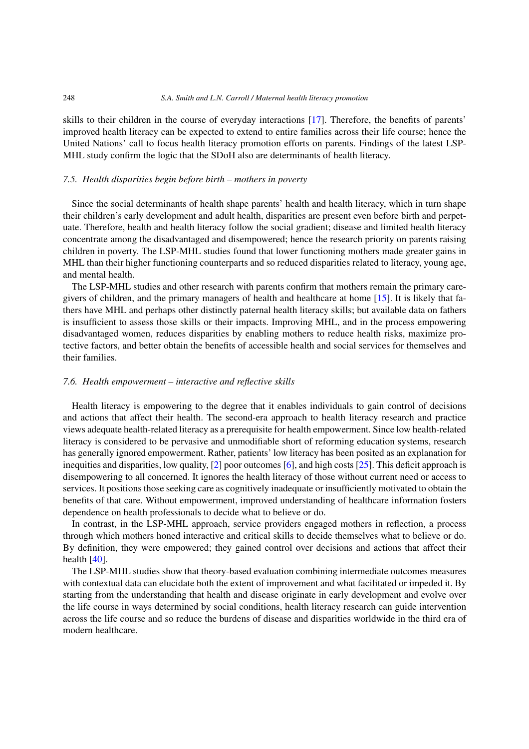skills to their children in the course of everyday interactions [\[17](#page-17-21)]. Therefore, the benefits of parents' improved health literacy can be expected to extend to entire families across their life course; hence the United Nations' call to focus health literacy promotion efforts on parents. Findings of the latest LSP-MHL study confirm the logic that the SDoH also are determinants of health literacy.

## *7.5. Health disparities begin before birth – mothers in poverty*

Since the social determinants of health shape parents' health and health literacy, which in turn shape their children's early development and adult health, disparities are present even before birth and perpetuate. Therefore, health and health literacy follow the social gradient; disease and limited health literacy concentrate among the disadvantaged and disempowered; hence the research priority on parents raising children in poverty. The LSP-MHL studies found that lower functioning mothers made greater gains in MHL than their higher functioning counterparts and so reduced disparities related to literacy, young age, and mental health.

The LSP-MHL studies and other research with parents confirm that mothers remain the primary caregivers of children, and the primary managers of health and healthcare at home [\[15](#page-17-22)]. It is likely that fathers have MHL and perhaps other distinctly paternal health literacy skills; but available data on fathers is insufficient to assess those skills or their impacts. Improving MHL, and in the process empowering disadvantaged women, reduces disparities by enabling mothers to reduce health risks, maximize protective factors, and better obtain the benefits of accessible health and social services for themselves and their families.

#### *7.6. Health empowerment – interactive and reflective skills*

Health literacy is empowering to the degree that it enables individuals to gain control of decisions and actions that affect their health. The second-era approach to health literacy research and practice views adequate health-related literacy as a prerequisite for health empowerment. Since low health-related literacy is considered to be pervasive and unmodifiable short of reforming education systems, research has generally ignored empowerment. Rather, patients' low literacy has been posited as an explanation for inequities and disparities, low quality, [\[2](#page-16-12)] poor outcomes [\[6\]](#page-16-8), and high costs [\[25\]](#page-17-23). This deficit approach is disempowering to all concerned. It ignores the health literacy of those without current need or access to services. It positions those seeking care as cognitively inadequate or insufficiently motivated to obtain the benefits of that care. Without empowerment, improved understanding of healthcare information fosters dependence on health professionals to decide what to believe or do.

In contrast, in the LSP-MHL approach, service providers engaged mothers in reflection, a process through which mothers honed interactive and critical skills to decide themselves what to believe or do. By definition, they were empowered; they gained control over decisions and actions that affect their health [\[40](#page-17-15)].

The LSP-MHL studies show that theory-based evaluation combining intermediate outcomes measures with contextual data can elucidate both the extent of improvement and what facilitated or impeded it. By starting from the understanding that health and disease originate in early development and evolve over the life course in ways determined by social conditions, health literacy research can guide intervention across the life course and so reduce the burdens of disease and disparities worldwide in the third era of modern healthcare.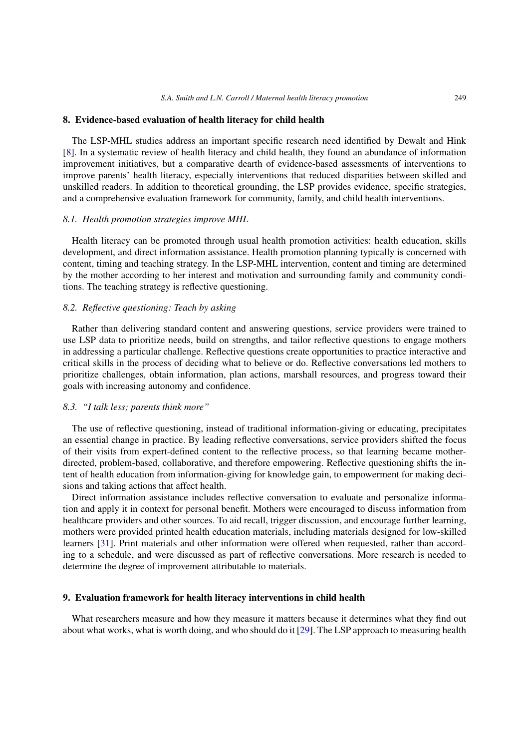#### <span id="page-14-0"></span>**8. Evidence-based evaluation of health literacy for child health**

The LSP-MHL studies address an important specific research need identified by Dewalt and Hink [\[8\]](#page-16-7). In a systematic review of health literacy and child health, they found an abundance of information improvement initiatives, but a comparative dearth of evidence-based assessments of interventions to improve parents' health literacy, especially interventions that reduced disparities between skilled and unskilled readers. In addition to theoretical grounding, the LSP provides evidence, specific strategies, and a comprehensive evaluation framework for community, family, and child health interventions.

## *8.1. Health promotion strategies improve MHL*

Health literacy can be promoted through usual health promotion activities: health education, skills development, and direct information assistance. Health promotion planning typically is concerned with content, timing and teaching strategy. In the LSP-MHL intervention, content and timing are determined by the mother according to her interest and motivation and surrounding family and community conditions. The teaching strategy is reflective questioning.

# *8.2. Reflective questioning: Teach by asking*

Rather than delivering standard content and answering questions, service providers were trained to use LSP data to prioritize needs, build on strengths, and tailor reflective questions to engage mothers in addressing a particular challenge. Reflective questions create opportunities to practice interactive and critical skills in the process of deciding what to believe or do. Reflective conversations led mothers to prioritize challenges, obtain information, plan actions, marshall resources, and progress toward their goals with increasing autonomy and confidence.

## *8.3. "I talk less; parents think more"*

The use of reflective questioning, instead of traditional information-giving or educating, precipitates an essential change in practice. By leading reflective conversations, service providers shifted the focus of their visits from expert-defined content to the reflective process, so that learning became motherdirected, problem-based, collaborative, and therefore empowering. Reflective questioning shifts the intent of health education from information-giving for knowledge gain, to empowerment for making decisions and taking actions that affect health.

Direct information assistance includes reflective conversation to evaluate and personalize information and apply it in context for personal benefit. Mothers were encouraged to discuss information from healthcare providers and other sources. To aid recall, trigger discussion, and encourage further learning, mothers were provided printed health education materials, including materials designed for low-skilled learners [\[31\]](#page-17-24). Print materials and other information were offered when requested, rather than according to a schedule, and were discussed as part of reflective conversations. More research is needed to determine the degree of improvement attributable to materials.

## <span id="page-14-1"></span>**9. Evaluation framework for health literacy interventions in child health**

What researchers measure and how they measure it matters because it determines what they find out about what works, what is worth doing, and who should do it [\[29](#page-17-19)]. The LSP approach to measuring health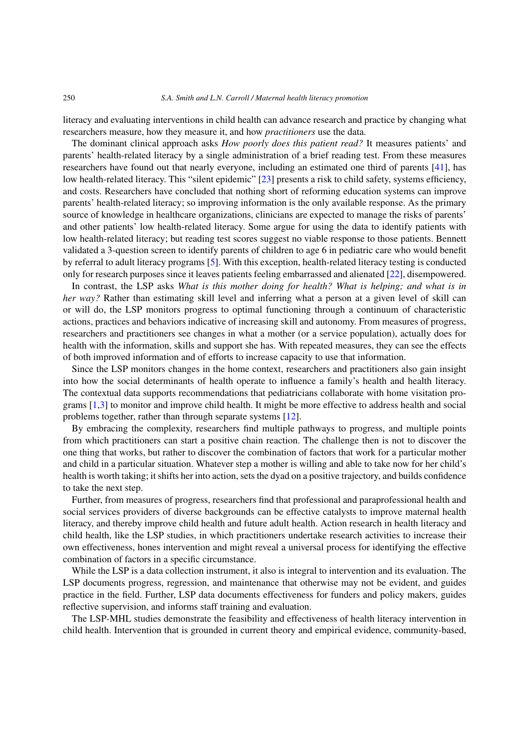literacy and evaluating interventions in child health can advance research and practice by changing what researchers measure, how they measure it, and how *practitioners* use the data.

The dominant clinical approach asks *How poorly does this patient read?* It measures patients' and parents' health-related literacy by a single administration of a brief reading test. From these measures researchers have found out that nearly everyone, including an estimated one third of parents [\[41\]](#page-17-25), has low health-related literacy. This "silent epidemic" [\[23](#page-17-26)] presents a risk to child safety, systems efficiency, and costs. Researchers have concluded that nothing short of reforming education systems can improve parents' health-related literacy; so improving information is the only available response. As the primary source of knowledge in healthcare organizations, clinicians are expected to manage the risks of parents' and other patients' low health-related literacy. Some argue for using the data to identify patients with low health-related literacy; but reading test scores suggest no viable response to those patients. Bennett validated a 3-question screen to identify parents of children to age 6 in pediatric care who would benefit by referral to adult literacy programs [\[5\]](#page-16-9). With this exception, health-related literacy testing is conducted only for research purposes since it leaves patients feeling embarrassed and alienated [\[22](#page-17-27)], disempowered.

In contrast, the LSP asks *What is this mother doing for health? What is helping; and what is in her way?* Rather than estimating skill level and inferring what a person at a given level of skill can or will do, the LSP monitors progress to optimal functioning through a continuum of characteristic actions, practices and behaviors indicative of increasing skill and autonomy. From measures of progress, researchers and practitioners see changes in what a mother (or a service population), actually does for health with the information, skills and support she has. With repeated measures, they can see the effects of both improved information and of efforts to increase capacity to use that information.

Since the LSP monitors changes in the home context, researchers and practitioners also gain insight into how the social determinants of health operate to influence a family's health and health literacy. The contextual data supports recommendations that pediatricians collaborate with home visitation programs [\[1](#page-16-3)[,3\]](#page-16-13) to monitor and improve child health. It might be more effective to address health and social problems together, rather than through separate systems [\[12\]](#page-16-11).

By embracing the complexity, researchers find multiple pathways to progress, and multiple points from which practitioners can start a positive chain reaction. The challenge then is not to discover the one thing that works, but rather to discover the combination of factors that work for a particular mother and child in a particular situation. Whatever step a mother is willing and able to take now for her child's health is worth taking; it shifts her into action, sets the dyad on a positive trajectory, and builds confidence to take the next step.

Further, from measures of progress, researchers find that professional and paraprofessional health and social services providers of diverse backgrounds can be effective catalysts to improve maternal health literacy, and thereby improve child health and future adult health. Action research in health literacy and child health, like the LSP studies, in which practitioners undertake research activities to increase their own effectiveness, hones intervention and might reveal a universal process for identifying the effective combination of factors in a specific circumstance.

While the LSP is a data collection instrument, it also is integral to intervention and its evaluation. The LSP documents progress, regression, and maintenance that otherwise may not be evident, and guides practice in the field. Further, LSP data documents effectiveness for funders and policy makers, guides reflective supervision, and informs staff training and evaluation.

The LSP-MHL studies demonstrate the feasibility and effectiveness of health literacy intervention in child health. Intervention that is grounded in current theory and empirical evidence, community-based,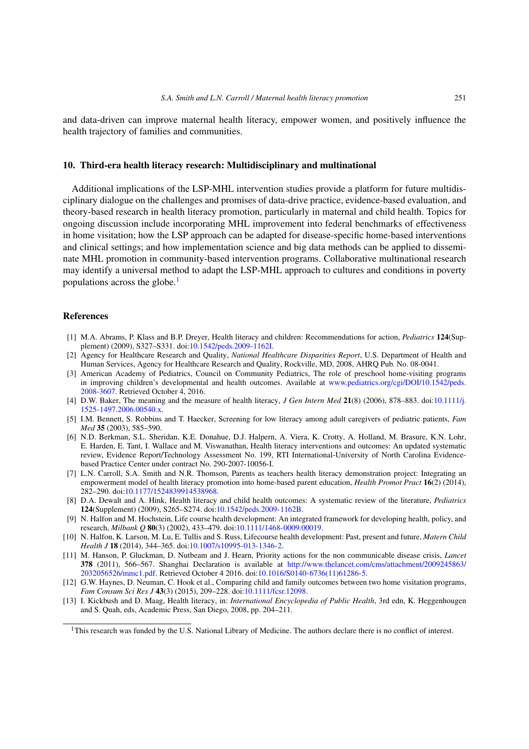and data-driven can improve maternal health literacy, empower women, and positively influence the health trajectory of families and communities.

## <span id="page-16-2"></span>**10. Third-era health literacy research: Multidisciplinary and multinational**

Additional implications of the LSP-MHL intervention studies provide a platform for future multidisciplinary dialogue on the challenges and promises of data-drive practice, evidence-based evaluation, and theory-based research in health literacy promotion, particularly in maternal and child health. Topics for ongoing discussion include incorporating MHL improvement into federal benchmarks of effectiveness in home visitation; how the LSP approach can be adapted for disease-specific home-based interventions and clinical settings; and how implementation science and big data methods can be applied to disseminate MHL promotion in community-based intervention programs. Collaborative multinational research may identify a universal method to adapt the LSP-MHL approach to cultures and conditions in poverty populations across the globe. $<sup>1</sup>$ </sup>

## **References**

- <span id="page-16-3"></span>[1] M.A. Abrams, P. Klass and B.P. Dreyer, Health literacy and children: Recommendations for action, *Pediatrics* **124**(Supplement) (2009), S327–S331. doi[:10.1542/peds.2009-1162I.](http://dx.doi.org/10.1542/peds.2009-1162I)
- <span id="page-16-12"></span>[2] Agency for Healthcare Research and Quality, *National Healthcare Disparities Report*, U.S. Department of Health and Human Services, Agency for Healthcare Research and Quality, Rockville, MD, 2008, AHRQ Pub. No. 08-0041.
- <span id="page-16-13"></span>[3] American Academy of Pediatrics, Council on Community Pediatrics, The role of preschool home-visiting programs in improving children's developmental and health outcomes. Available at [www.pediatrics.org/cgi/DOI/10.1542/peds.](http://www.pediatrics.org/cgi/DOI/10.1542/peds.2008-3607) [2008-3607.](http://www.pediatrics.org/cgi/DOI/10.1542/peds.2008-3607) Retrieved October 4, 2016.
- <span id="page-16-6"></span>[4] D.W. Baker, The meaning and the measure of health literacy, *J Gen Intern Med* **21**(8) (2006), 878–883. doi[:10.1111/j.](http://dx.doi.org/10.1111/j.1525-1497.2006.00540.x) [1525-1497.2006.00540.x.](http://dx.doi.org/10.1111/j.1525-1497.2006.00540.x)
- <span id="page-16-9"></span>[5] I.M. Bennett, S. Robbins and T. Haecker, Screening for low literacy among adult caregivers of pediatric patients, *Fam Med* **35** (2003), 585–590.
- <span id="page-16-8"></span>[6] N.D. Berkman, S.L. Sheridan, K.E. Donahue, D.J. Halpern, A. Viera, K. Crotty, A. Holland, M. Brasure, K.N. Lohr, E. Harden, E. Tant, I. Wallace and M. Viswanathan, Health literacy interventions and outcomes: An updated systematic review, Evidence Report/Technology Assessment No. 199, RTI International-University of North Carolina Evidencebased Practice Center under contract No. 290-2007-10056-I.
- <span id="page-16-10"></span>[7] L.N. Carroll, S.A. Smith and N.R. Thomson, Parents as teachers health literacy demonstration project: Integrating an empowerment model of health literacy promotion into home-based parent education, *Health Promot Pract* **16**(2) (2014), 282–290. doi[:10.1177/1524839914538968.](http://dx.doi.org/10.1177/1524839914538968)
- <span id="page-16-7"></span>[8] D.A. Dewalt and A. Hink, Health literacy and child health outcomes: A systematic review of the literature, *Pediatrics* **124**(Supplement) (2009), S265–S274. doi[:10.1542/peds.2009-1162B.](http://dx.doi.org/10.1542/peds.2009-1162B)
- <span id="page-16-4"></span>[9] N. Halfon and M. Hochstein, Life course health development: An integrated framework for developing health, policy, and research, *Milbank Q* **80**(3) (2002), 433–479. doi[:10.1111/1468-0009.00019.](http://dx.doi.org/10.1111/1468-0009.00019)
- <span id="page-16-0"></span>[10] N. Halfon, K. Larson, M. Lu, E. Tullis and S. Russ, Lifecourse health development: Past, present and future, *Matern Child Health J* **18** (2014), 344–365. doi[:10.1007/s10995-013-1346-2.](http://dx.doi.org/10.1007/s10995-013-1346-2)
- <span id="page-16-1"></span>[11] M. Hanson, P. Gluckman, D. Nutbeam and J. Hearn, Priority actions for the non communicable disease crisis, *Lancet* **378** (2011), 566–567. Shanghai Declaration is available at [http://www.thelancet.com/cms/attachment/2009245863/](http://www.thelancet.com/cms/attachment/2009245863/2032056526/mmc1.pdf) [2032056526/mmc1.pdf.](http://www.thelancet.com/cms/attachment/2009245863/2032056526/mmc1.pdf) Retrieved October 4 2016. doi[:10.1016/S0140-6736\(11\)61286-5.](http://dx.doi.org/10.1016/S0140-6736(11)61286-5)
- <span id="page-16-11"></span>[12] G.W. Haynes, D. Neuman, C. Hook et al., Comparing child and family outcomes between two home visitation programs, *Fam Consum Sci Res J* **43**(3) (2015), 209–228. doi[:10.1111/fcsr.12098.](http://dx.doi.org/10.1111/fcsr.12098)
- <span id="page-16-5"></span>[13] I. Kickbush and D. Maag, Health literacy, in: *International Encyclopedia of Public Health*, 3rd edn, K. Heggenhougen and S. Quah, eds, Academic Press, San Diego, 2008, pp. 204–211.

<span id="page-16-14"></span><sup>&</sup>lt;sup>1</sup>This research was funded by the U.S. National Library of Medicine. The authors declare there is no conflict of interest.